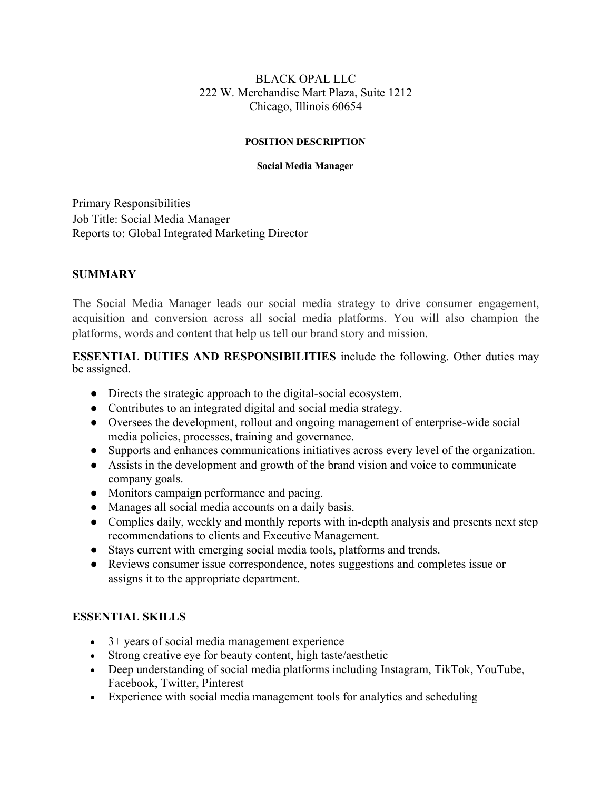### BLACK OPAL LLC 222 W. Merchandise Mart Plaza, Suite 1212 Chicago, Illinois 60654

#### **POSITION DESCRIPTION**

#### **Social Media Manager**

Primary Responsibilities Job Title: Social Media Manager Reports to: Global Integrated Marketing Director

# **SUMMARY**

The Social Media Manager leads our social media strategy to drive consumer engagement, acquisition and conversion across all social media platforms. You will also champion the platforms, words and content that help us tell our brand story and mission.

**ESSENTIAL DUTIES AND RESPONSIBILITIES** include the following. Other duties may be assigned.

- Directs the strategic approach to the digital-social ecosystem.
- Contributes to an integrated digital and social media strategy.
- Oversees the development, rollout and ongoing management of enterprise-wide social media policies, processes, training and governance.
- Supports and enhances communications initiatives across every level of the organization.
- Assists in the development and growth of the brand vision and voice to communicate company goals.
- Monitors campaign performance and pacing.
- Manages all social media accounts on a daily basis.
- Complies daily, weekly and monthly reports with in-depth analysis and presents next step recommendations to clients and Executive Management.
- Stays current with emerging social media tools, platforms and trends.
- Reviews consumer issue correspondence, notes suggestions and completes issue or assigns it to the appropriate department.

## **ESSENTIAL SKILLS**

- 3+ years of social media management experience
- Strong creative eye for beauty content, high taste/aesthetic
- Deep understanding of social media platforms including Instagram, TikTok, YouTube, Facebook, Twitter, Pinterest
- Experience with social media management tools for analytics and scheduling